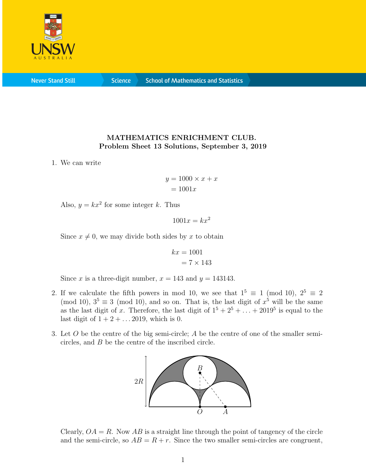

**Never Stand Still** 

**Science** 

## MATHEMATICS ENRICHMENT CLUB. Problem Sheet 13 Solutions, September 3, 2019

1. We can write

$$
y = 1000 \times x + x
$$

$$
= 1001x
$$

Also,  $y = kx^2$  for some integer k. Thus

 $1001x = kx^2$ 

Since  $x \neq 0$ , we may divide both sides by x to obtain

$$
kx = 1001
$$

$$
= 7 \times 143
$$

Since x is a three-digit number,  $x = 143$  and  $y = 143143$ .

- 2. If we calculate the fifth powers in mod 10, we see that  $1^5 \equiv 1 \pmod{10}$ ,  $2^5 \equiv 2$ (mod 10),  $3^5 \equiv 3 \pmod{10}$ , and so on. That is, the last digit of  $x^5$  will be the same as the last digit of x. Therefore, the last digit of  $1^5 + 2^5 + \ldots + 2019^5$  is equal to the last digit of  $1 + 2 + \ldots 2019$ , which is 0.
- 3. Let O be the centre of the big semi-circle; A be the centre of one of the smaller semicircles, and B be the centre of the inscribed circle.



Clearly,  $OA = R$ . Now  $AB$  is a straight line through the point of tangency of the circle and the semi-circle, so  $AB = R + r$ . Since the two smaller semi-circles are congruent,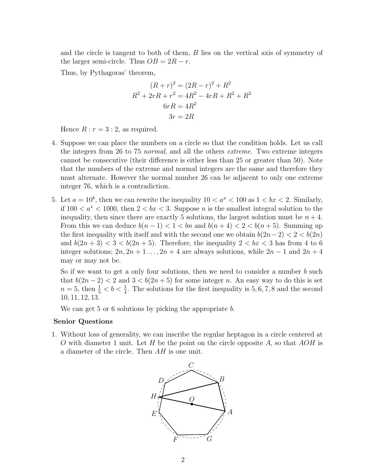and the circle is tangent to both of them, B lies on the vertical axis of symmetry of the larger semi-circle. Thus  $OB = 2R - r$ .

Thus, by Pythagoras' theorem,

$$
(R+r)^2 = (2R-r)^2 + R^2
$$
  
\n
$$
R^2 + 2rR + r^2 = 4R^2 - 4rR + R^2 + R^2
$$
  
\n
$$
6rR = 4R^2
$$
  
\n
$$
3r = 2R
$$

Hence  $R : r = 3 : 2$ , as required.

- 4. Suppose we can place the numbers on a circle so that the condition holds. Let us call the integers from 26 to 75 normal, and all the others extreme. Two extreme integers cannot be consecutive (their difference is either less than 25 or greater than 50). Note that the numbers of the extreme and normal integers are the same and therefore they must alternate. However the normal number 26 can be adjacent to only one extreme integer 76, which is a contradiction.
- 5. Let  $a = 10^b$ , then we can rewrite the inequality  $10 < a^x < 100$  as  $1 < bx < 2$ . Similarly, if  $100 < a^x < 1000$ , then  $2 < bx < 3$ . Suppose *n* is the smallest integral solution to the inequality, then since there are exactly 5 solutions, the largest solution must be  $n + 4$ . From this we can deduce  $b(n-1) < 1 < bn$  and  $b(n+4) < 2 < b(n+5)$ . Summing up the first inequality with itself and with the second one we obtain  $b(2n-2) < 2 < b(2n)$ and  $b(2n+3) < 3 < b(2n+5)$ . Therefore, the inequality  $2 < bx < 3$  has from 4 to 6 integer solutions;  $2n, 2n + 1, \ldots, 2n + 4$  are always solutions, while  $2n - 1$  and  $2n + 4$ may or may not be.

So if we want to get a only four solutions, then we need to consider a number  $b$  such that  $b(2n-2) < 2$  and  $3 < b(2n+5)$  for some integer n. An easy way to do this is set  $n=5$ , then  $\frac{1}{5} < b < \frac{1}{4}$ . The solutions for the first inequality is 5, 6, 7, 8 and the second 10, 11, 12, 13.

We can get 5 or 6 solutions by picking the appropriate b.

## Senior Questions

1. Without loss of generality, we can inscribe the regular heptagon in a circle centered at O with diameter 1 unit. Let H be the point on the circle opposite A, so that  $AOH$  is a diameter of the circle. Then AH is one unit.

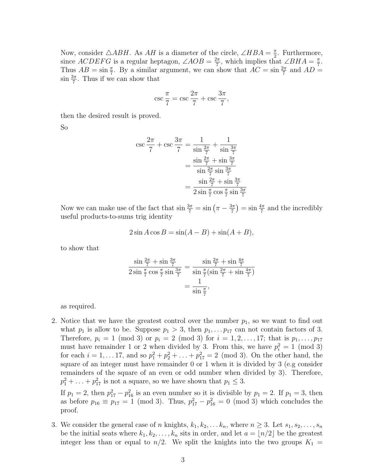Now, consider  $\triangle ABH$ . As AH is a diameter of the circle,  $\angle HBA = \frac{\pi}{2}$  $\frac{\pi}{2}$ . Furthermore, since  $ACDEFG$  is a regular heptagon,  $\angle AOB = \frac{2\pi}{7}$  $\frac{2\pi}{7}$ , which implies that  $\angle BHA = \frac{\pi}{7}$  $\frac{\pi}{7}$ . Thus  $AB = \sin \frac{\pi}{7}$ . By a similar argument, we can show that  $AC = \sin \frac{2\pi}{7}$  and  $AD =$  $\sin \frac{3\pi}{7}$ . Thus if we can show that

$$
\csc \frac{\pi}{7} = \csc \frac{2\pi}{7} + \csc \frac{3\pi}{7},
$$

then the desired result is proved.

So

$$
\csc \frac{2\pi}{7} + \csc \frac{3\pi}{7} = \frac{1}{\sin \frac{2\pi}{7}} + \frac{1}{\sin \frac{3\pi}{7}}
$$

$$
= \frac{\sin \frac{2\pi}{7} + \sin \frac{3\pi}{7}}{\sin \frac{2\pi}{7} \sin \frac{3\pi}{7}}
$$

$$
= \frac{\sin \frac{2\pi}{7} + \sin \frac{3\pi}{7}}{2 \sin \frac{\pi}{7} \cos \frac{\pi}{7} \sin \frac{3\pi}{7}}
$$

Now we can make use of the fact that  $\sin \frac{3\pi}{7} = \sin \left( \pi - \frac{3\pi}{7} \right)$  $\left(\frac{3\pi}{7}\right) = \sin \frac{4\pi}{7}$  and the incredibly useful products-to-sums trig identity

$$
2\sin A \cos B = \sin(A - B) + \sin(A + B),
$$

to show that

$$
\frac{\sin\frac{2\pi}{7} + \sin\frac{3\pi}{7}}{2\sin\frac{\pi}{7}\cos\frac{\pi}{7}\sin\frac{3\pi}{7}} = \frac{\sin\frac{2\pi}{7} + \sin\frac{4\pi}{7}}{\sin\frac{\pi}{7}(\sin\frac{2\pi}{7} + \sin\frac{4\pi}{7})}
$$

$$
= \frac{1}{\sin\frac{\pi}{7}},
$$

as required.

2. Notice that we have the greatest control over the number  $p_1$ , so we want to find out what  $p_1$  is allow to be. Suppose  $p_1 > 3$ , then  $p_1, \ldots, p_{17}$  can not contain factors of 3. Therefore,  $p_i = 1 \pmod{3}$  or  $p_i = 2 \pmod{3}$  for  $i = 1, 2, ..., 17$ ; that is  $p_1, ..., p_{17}$ must have remainder 1 or 2 when divided by 3. From this, we have  $p_i^2 = 1 \pmod{3}$ for each  $i = 1, \ldots 17$ , and so  $p_1^2 + p_2^2 + \ldots + p_{17}^2 = 2 \pmod{3}$ . On the other hand, the square of an integer must have remainder 0 or 1 when it is divided by 3 (e.g consider remainders of the square of an even or odd number when divided by 3). Therefore,  $p_1^2 + \ldots + p_{17}^2$  is not a square, so we have shown that  $p_1 \leq 3$ .

If  $p_1 = 2$ , then  $p_{17}^2 - p_{16}^2$  is an even number so it is divisible by  $p_1 = 2$ . If  $p_1 = 3$ , then as before  $p_{16} \equiv p_{17} = 1 \pmod{3}$ . Thus,  $p_{17}^2 - p_{16}^2 = 0 \pmod{3}$  which concludes the proof.

3. We consider the general case of n knights,  $k_1, k_2, \ldots k_n$ , where  $n \geq 3$ . Let  $s_1, s_2, \ldots, s_n$ be the initial seats where  $k_1, k_2, \ldots, k_n$  sits in order, and let  $a = \lfloor n/2 \rfloor$  be the greatest integer less than or equal to  $n/2$ . We split the knights into the two groups  $K_1 =$